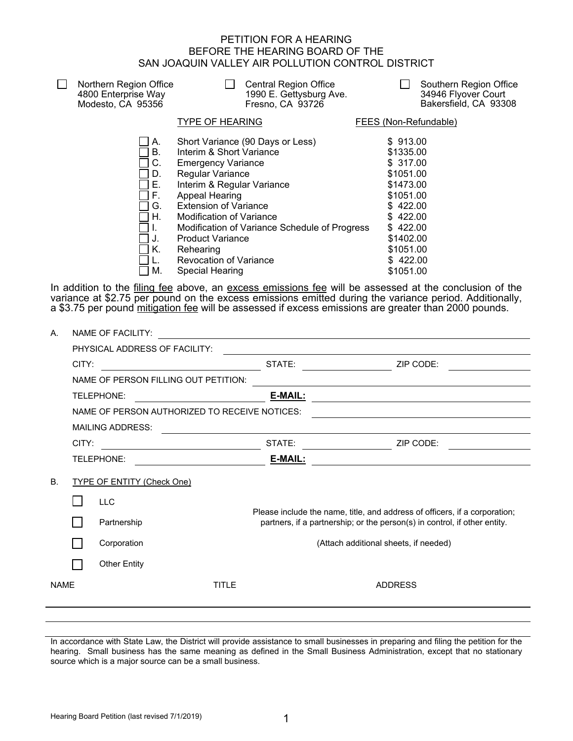## PETITION FOR A HEARING BEFORE THE HEARING BOARD OF THE SAN JOAQUIN VALLEY AIR POLLUTION CONTROL DISTRICT

| Northern Region Office<br>4800 Enterprise Way<br>Modesto, CA 95356            | <b>Central Region Office</b><br>1990 E. Gettysburg Ave.<br>Fresno, CA 93726                                                                                                                                                                                                                                                                                                   | Southern Region Office<br>34946 Flyover Court<br>Bakersfield, CA 93308                                                                                          |
|-------------------------------------------------------------------------------|-------------------------------------------------------------------------------------------------------------------------------------------------------------------------------------------------------------------------------------------------------------------------------------------------------------------------------------------------------------------------------|-----------------------------------------------------------------------------------------------------------------------------------------------------------------|
|                                                                               | <b>TYPE OF HEARING</b>                                                                                                                                                                                                                                                                                                                                                        | FEES (Non-Refundable)                                                                                                                                           |
| А.<br><b>B.</b><br>C.<br>D.<br>E.<br>F.<br>G.<br>Η.<br>H.<br>' J.<br>K.<br>М. | Short Variance (90 Days or Less)<br>Interim & Short Variance<br><b>Emergency Variance</b><br>Regular Variance<br>Interim & Regular Variance<br>Appeal Hearing<br><b>Extension of Variance</b><br><b>Modification of Variance</b><br>Modification of Variance Schedule of Progress<br><b>Product Variance</b><br>Rehearing<br><b>Revocation of Variance</b><br>Special Hearing | \$913.00<br>\$1335.00<br>\$317.00<br>\$1051.00<br>\$1473.00<br>\$1051.00<br>\$422.00<br>\$422.00<br>\$422.00<br>\$1402.00<br>\$1051.00<br>\$422.00<br>\$1051.00 |
|                                                                               |                                                                                                                                                                                                                                                                                                                                                                               |                                                                                                                                                                 |

In addition to the filing fee above, an excess emissions fee will be assessed at the conclusion of the variance at \$2.75 per pound on the excess emissions emitted during the variance period. Additionally, a \$3.75 per pound <u>mitigation fee</u> will be assessed if excess emissions are greater than 2000 pounds.

| Α.                                      | <b>NAME OF FACILITY:</b> |                                               |  |         |                                                                            |
|-----------------------------------------|--------------------------|-----------------------------------------------|--|---------|----------------------------------------------------------------------------|
|                                         |                          | PHYSICAL ADDRESS OF FACILITY:                 |  |         |                                                                            |
|                                         | CITY:                    |                                               |  | STATE:  | ZIP CODE:                                                                  |
|                                         |                          | NAME OF PERSON FILLING OUT PETITION:          |  |         |                                                                            |
|                                         |                          | <b>TELEPHONE:</b>                             |  | E-MAIL: |                                                                            |
|                                         |                          | NAME OF PERSON AUTHORIZED TO RECEIVE NOTICES: |  |         |                                                                            |
|                                         |                          | <b>MAILING ADDRESS:</b>                       |  |         |                                                                            |
|                                         | CITY:                    |                                               |  | STATE:  | ZIP CODE:                                                                  |
|                                         |                          | TELEPHONE:                                    |  | E-MAIL: |                                                                            |
| <b>TYPE OF ENTITY (Check One)</b><br>В. |                          |                                               |  |         |                                                                            |
|                                         |                          | <b>LLC</b>                                    |  |         | Please include the name, title, and address of officers, if a corporation; |
|                                         |                          | Partnership                                   |  |         | partners, if a partnership; or the person(s) in control, if other entity.  |
|                                         |                          | Corporation                                   |  |         | (Attach additional sheets, if needed)                                      |
|                                         |                          | <b>Other Entity</b>                           |  |         |                                                                            |
| <b>NAME</b><br><b>TITLE</b>             |                          | <b>ADDRESS</b>                                |  |         |                                                                            |
|                                         |                          |                                               |  |         |                                                                            |
|                                         |                          |                                               |  |         |                                                                            |

In accordance with State Law, the District will provide assistance to small businesses in preparing and filing the petition for the hearing. Small business has the same meaning as defined in the Small Business Administration, except that no stationary source which is a major source can be a small business.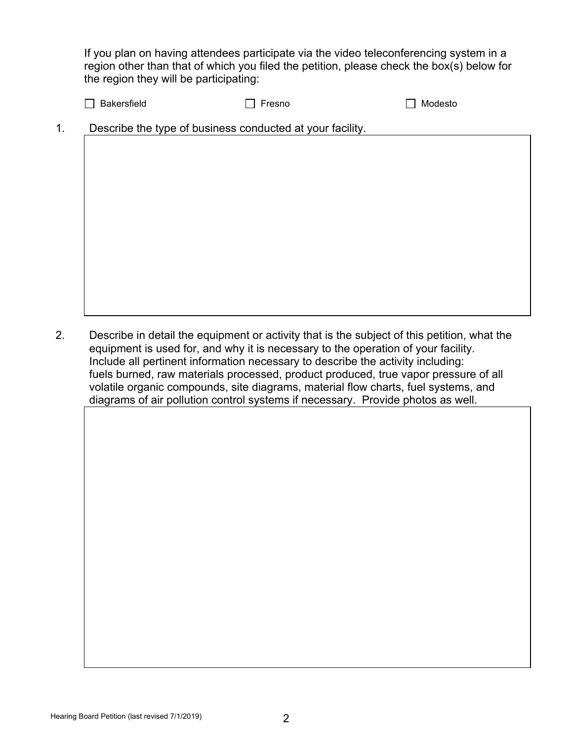If you plan on having attendees participate via the video teleconferencing system in a region other than that of which you filed the petition, please check the box(s) below for the region they will be participating:

| $\Box$ Bakersfield | ∣ Fresno | $\Box$ Modesto |
|--------------------|----------|----------------|
|--------------------|----------|----------------|

1. Describe the type of business conducted at your facility.

2. Describe in detail the equipment or activity that is the subject of this petition, what the equipment is used for, and why it is necessary to the operation of your facility. Include all pertinent information necessary to describe the activity including: fuels burned, raw materials processed, product produced, true vapor pressure of all volatile organic compounds, site diagrams, material flow charts, fuel systems, and diagrams of air pollution control systems if necessary. Provide photos as well.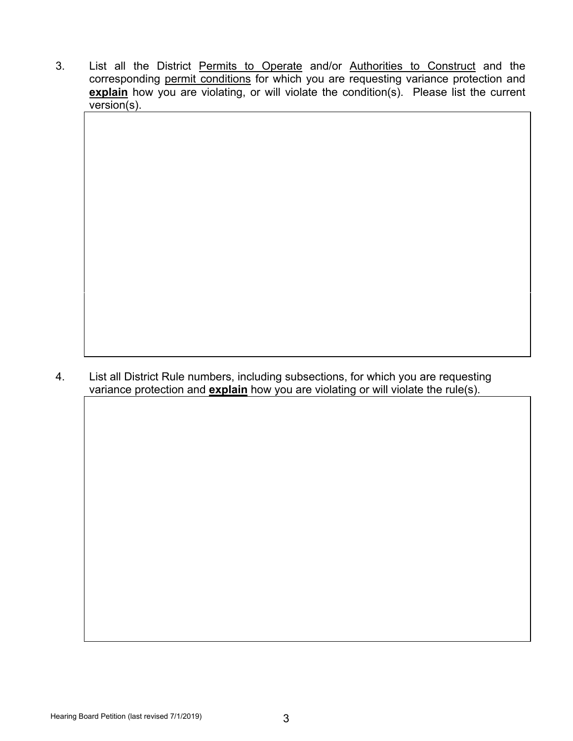3. List all the District Permits to Operate and/or Authorities to Construct and the corresponding permit conditions for which you are requesting variance protection and **explain** how you are violating, or will violate the condition(s). Please list the current version(s).

4. List all District Rule numbers, including subsections, for which you are requesting variance protection and **explain** how you are violating or will violate the rule(s).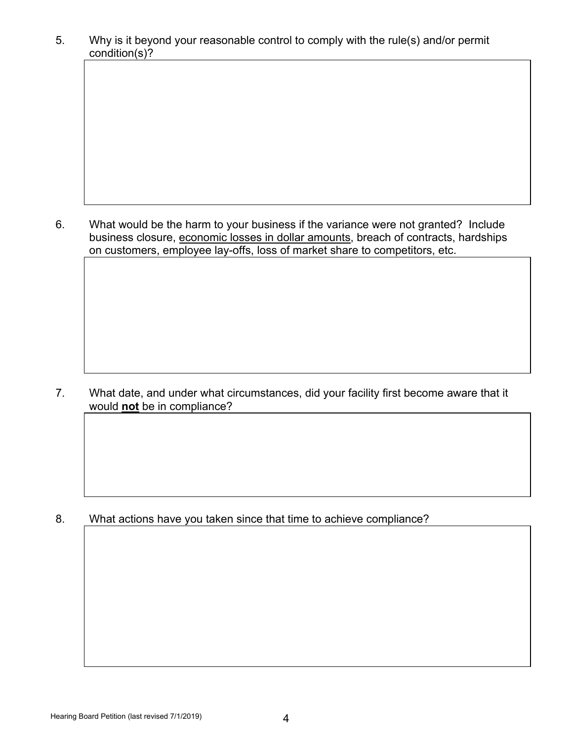5. Why is it beyond your reasonable control to comply with the rule(s) and/or permit condition(s)?

6. What would be the harm to your business if the variance were not granted? Include business closure, economic losses in dollar amounts, breach of contracts, hardships on customers, employee lay-offs, loss of market share to competitors, etc.

7. What date, and under what circumstances, did your facility first become aware that it would **not** be in compliance?

8. What actions have you taken since that time to achieve compliance?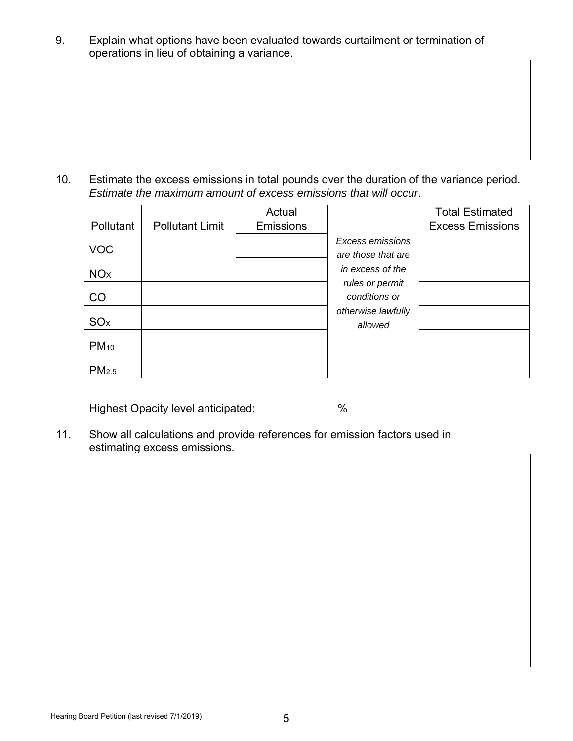9. Explain what options have been evaluated towards curtailment or termination of operations in lieu of obtaining a variance.

10. Estimate the excess emissions in total pounds over the duration of the variance period. *Estimate the maximum amount of excess emissions that will occur*.

|                       |                   |                        | Actual           |                    | <b>Total Estimated</b>  |
|-----------------------|-------------------|------------------------|------------------|--------------------|-------------------------|
|                       | Pollutant         | <b>Pollutant Limit</b> | <b>Emissions</b> |                    | <b>Excess Emissions</b> |
|                       |                   |                        |                  | Excess emissions   |                         |
| <b>VOC</b>            |                   |                        |                  | are those that are |                         |
| NO <sub>X</sub>       |                   |                        |                  | in excess of the   |                         |
|                       |                   |                        |                  | rules or permit    |                         |
| CO                    |                   |                        |                  | conditions or      |                         |
| <b>SO<sub>x</sub></b> |                   |                        |                  | otherwise lawfully |                         |
|                       |                   |                        |                  | allowed            |                         |
| $PM_{10}$             |                   |                        |                  |                    |                         |
|                       | PM <sub>2.5</sub> |                        |                  |                    |                         |

Highest Opacity level anticipated: %

11. Show all calculations and provide references for emission factors used in estimating excess emissions.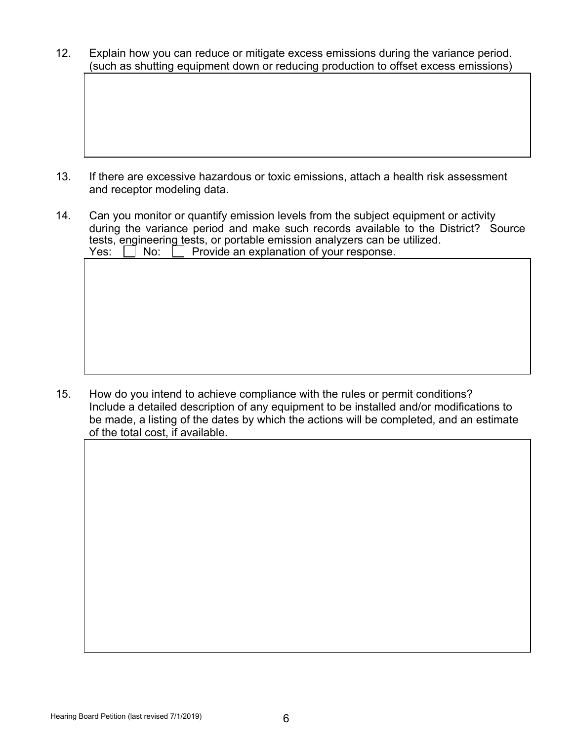12. Explain how you can reduce or mitigate excess emissions during the variance period. (such as shutting equipment down or reducing production to offset excess emissions)

- 13. If there are excessive hazardous or toxic emissions, attach a health risk assessment and receptor modeling data.
- 14. Can you monitor or quantify emission levels from the subject equipment or activity during the variance period and make such records available to the District? Source tests, engineering tests, or portable emission analyzers can be utilized.  $Yes: \Box No: \Box Provide$  an explanation of your response.

15. How do you intend to achieve compliance with the rules or permit conditions? Include a detailed description of any equipment to be installed and/or modifications to be made, a listing of the dates by which the actions will be completed, and an estimate of the total cost, if available.